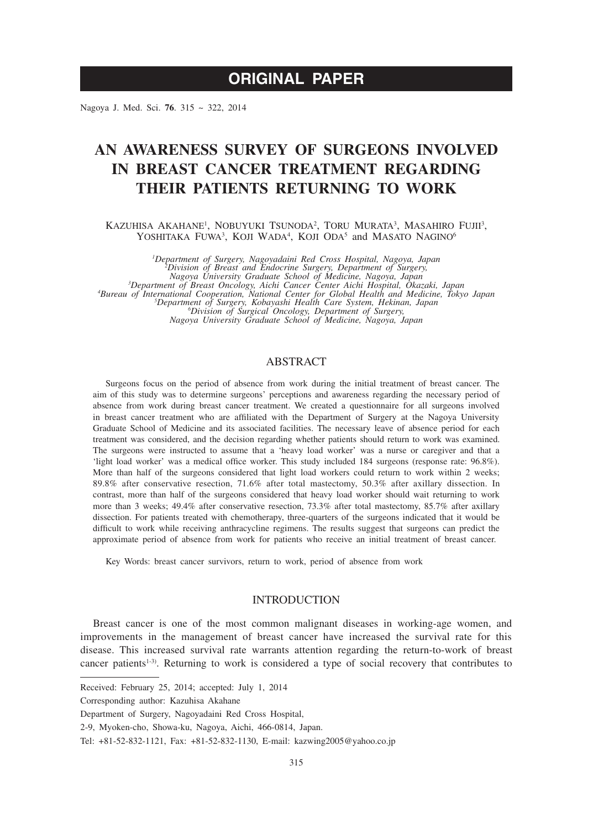Nagoya J. Med. Sci. **76**. 315 ~ 322, 2014

# **AN AWARENESS SURVEY OF SURGEONS INVOLVED IN BREAST CANCER TREATMENT REGARDING THEIR PATIENTS RETURNING TO WORK**

KAZUHISA AKAHANE<sup>1</sup>, NOBUYUKI TSUNODA<sup>2</sup>, TORU MURATA<sup>3</sup>, MASAHIRO FUJII<sup>3</sup>, YOSHITAKA FUWA<sup>3</sup>, KOJI WADA<sup>4</sup>, KOJI ODA<sup>5</sup> and MASATO NAGINO<sup>6</sup>

*1 Department of Surgery, Nagoyadaini Red Cross Hospital, Nagoya, Japan <sup>2</sup>* <sup>2</sup>Division of Breast and Endocrine Surgery, Department of Surgery,<br>Nagoya University Graduate School of Medicine, Nagoya, Japan<br><sup>3</sup>Department of Breast Oncology, Aichi Cancer Center Aichi Hospital, Okazaki, Japan<br><sup>4</sup>Burea *Division of Surgical Oncology, Department of Surgery, Nagoya University Graduate School of Medicine, Nagoya, Japan*

# ABSTRACT

Surgeons focus on the period of absence from work during the initial treatment of breast cancer. The aim of this study was to determine surgeons' perceptions and awareness regarding the necessary period of absence from work during breast cancer treatment. We created a questionnaire for all surgeons involved in breast cancer treatment who are affiliated with the Department of Surgery at the Nagoya University Graduate School of Medicine and its associated facilities. The necessary leave of absence period for each treatment was considered, and the decision regarding whether patients should return to work was examined. The surgeons were instructed to assume that a 'heavy load worker' was a nurse or caregiver and that a 'light load worker' was a medical office worker. This study included 184 surgeons (response rate: 96.8%). More than half of the surgeons considered that light load workers could return to work within 2 weeks; 89.8% after conservative resection, 71.6% after total mastectomy, 50.3% after axillary dissection. In contrast, more than half of the surgeons considered that heavy load worker should wait returning to work more than 3 weeks; 49.4% after conservative resection, 73.3% after total mastectomy, 85.7% after axillary dissection. For patients treated with chemotherapy, three-quarters of the surgeons indicated that it would be difficult to work while receiving anthracycline regimens. The results suggest that surgeons can predict the approximate period of absence from work for patients who receive an initial treatment of breast cancer.

Key Words: breast cancer survivors, return to work, period of absence from work

# INTRODUCTION

Breast cancer is one of the most common malignant diseases in working-age women, and improvements in the management of breast cancer have increased the survival rate for this disease. This increased survival rate warrants attention regarding the return-to-work of breast cancer patients<sup>1.3)</sup>. Returning to work is considered a type of social recovery that contributes to

Received: February 25, 2014; accepted: July 1, 2014

Corresponding author: Kazuhisa Akahane

Department of Surgery, Nagoyadaini Red Cross Hospital,

<sup>2-9,</sup> Myoken-cho, Showa-ku, Nagoya, Aichi, 466-0814, Japan.

Tel: +81-52-832-1121, Fax: +81-52-832-1130, E-mail: kazwing2005@yahoo.co.jp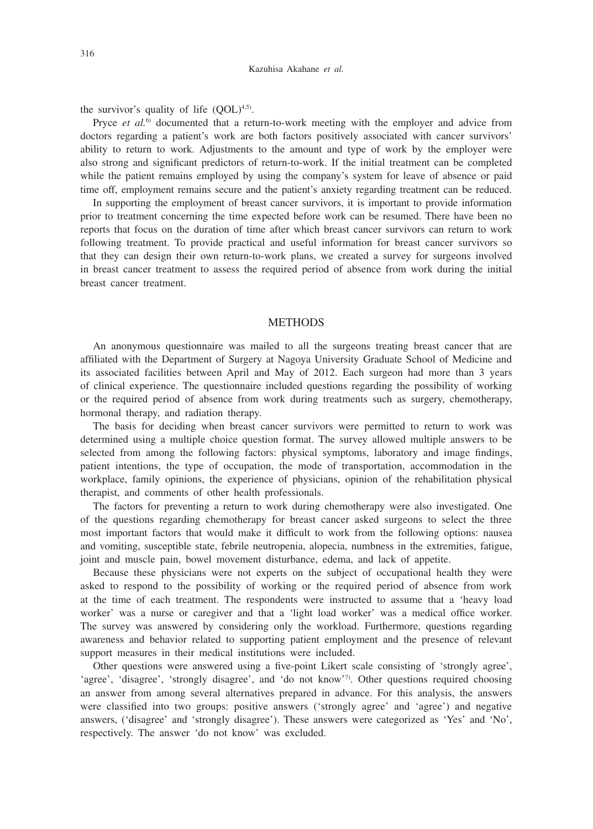the survivor's quality of life  $(OOL)^{4,5}$ .

Pryce *et al.*6) documented that a return-to-work meeting with the employer and advice from doctors regarding a patient's work are both factors positively associated with cancer survivors' ability to return to work. Adjustments to the amount and type of work by the employer were also strong and significant predictors of return-to-work. If the initial treatment can be completed while the patient remains employed by using the company's system for leave of absence or paid time off, employment remains secure and the patient's anxiety regarding treatment can be reduced.

In supporting the employment of breast cancer survivors, it is important to provide information prior to treatment concerning the time expected before work can be resumed. There have been no reports that focus on the duration of time after which breast cancer survivors can return to work following treatment. To provide practical and useful information for breast cancer survivors so that they can design their own return-to-work plans, we created a survey for surgeons involved in breast cancer treatment to assess the required period of absence from work during the initial breast cancer treatment.

### **METHODS**

An anonymous questionnaire was mailed to all the surgeons treating breast cancer that are affiliated with the Department of Surgery at Nagoya University Graduate School of Medicine and its associated facilities between April and May of 2012. Each surgeon had more than 3 years of clinical experience. The questionnaire included questions regarding the possibility of working or the required period of absence from work during treatments such as surgery, chemotherapy, hormonal therapy, and radiation therapy.

The basis for deciding when breast cancer survivors were permitted to return to work was determined using a multiple choice question format. The survey allowed multiple answers to be selected from among the following factors: physical symptoms, laboratory and image findings, patient intentions, the type of occupation, the mode of transportation, accommodation in the workplace, family opinions, the experience of physicians, opinion of the rehabilitation physical therapist, and comments of other health professionals.

The factors for preventing a return to work during chemotherapy were also investigated. One of the questions regarding chemotherapy for breast cancer asked surgeons to select the three most important factors that would make it difficult to work from the following options: nausea and vomiting, susceptible state, febrile neutropenia, alopecia, numbness in the extremities, fatigue, joint and muscle pain, bowel movement disturbance, edema, and lack of appetite.

Because these physicians were not experts on the subject of occupational health they were asked to respond to the possibility of working or the required period of absence from work at the time of each treatment. The respondents were instructed to assume that a 'heavy load worker' was a nurse or caregiver and that a 'light load worker' was a medical office worker. The survey was answered by considering only the workload. Furthermore, questions regarding awareness and behavior related to supporting patient employment and the presence of relevant support measures in their medical institutions were included.

Other questions were answered using a five-point Likert scale consisting of 'strongly agree', 'agree', 'disagree', 'strongly disagree', and 'do not know'<sup>7</sup>. Other questions required choosing an answer from among several alternatives prepared in advance. For this analysis, the answers were classified into two groups: positive answers ('strongly agree' and 'agree') and negative answers, ('disagree' and 'strongly disagree'). These answers were categorized as 'Yes' and 'No', respectively. The answer 'do not know' was excluded.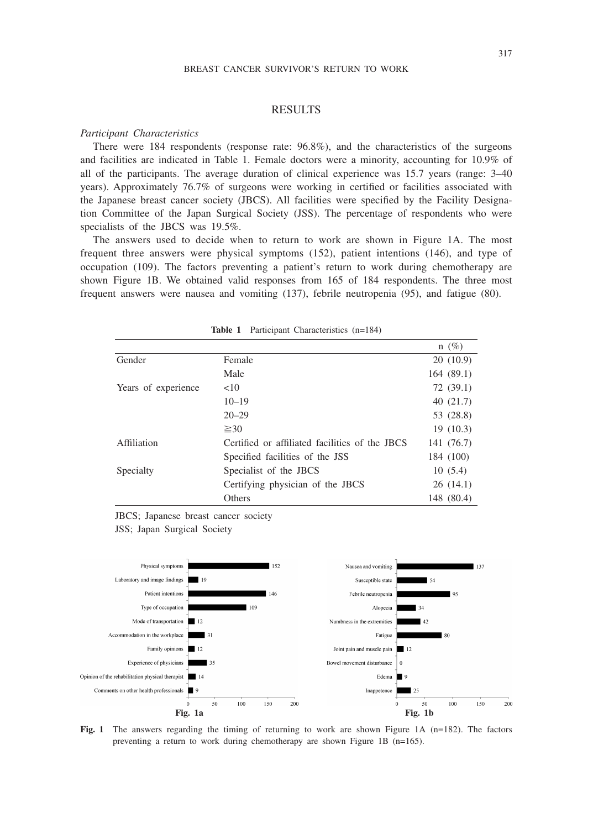### RESULTS

### *Participant Characteristics*

There were 184 respondents (response rate: 96.8%), and the characteristics of the surgeons and facilities are indicated in Table 1. Female doctors were a minority, accounting for 10.9% of all of the participants. The average duration of clinical experience was 15.7 years (range: 3–40 years). Approximately 76.7% of surgeons were working in certified or facilities associated with the Japanese breast cancer society (JBCS). All facilities were specified by the Facility Designation Committee of the Japan Surgical Society (JSS). The percentage of respondents who were specialists of the JBCS was 19.5%.

The answers used to decide when to return to work are shown in Figure 1A. The most frequent three answers were physical symptoms (152), patient intentions (146), and type of occupation (109). The factors preventing a patient's return to work during chemotherapy are shown Figure 1B. We obtained valid responses from 165 of 184 respondents. The three most frequent answers were nausea and vomiting (137), febrile neutropenia (95), and fatigue (80).

|                     |                                                | $n(\%)$    |
|---------------------|------------------------------------------------|------------|
| Gender              | Female                                         | 20(10.9)   |
|                     | Male                                           | 164 (89.1) |
| Years of experience | <10                                            | 72(39.1)   |
|                     | $10 - 19$                                      | 40(21.7)   |
|                     | $20 - 29$                                      | 53 (28.8)  |
|                     | $\geq 30$                                      | 19(10.3)   |
| Affiliation         | Certified or affiliated facilities of the JBCS | 141 (76.7) |
|                     | Specified facilities of the JSS                | 184 (100)  |
| Specialty           | Specialist of the JBCS                         | 10(5.4)    |
|                     | Certifying physician of the JBCS               | 26(14.1)   |
|                     | Others                                         | 148 (80.4) |

**Table 1** Participant Characteristics (n=184)

JBCS; Japanese breast cancer society JSS; Japan Surgical Society



**Fig. 1** The answers regarding the timing of returning to work are shown Figure 1A (n=182). The factors preventing a return to work during chemotherapy are shown Figure 1B (n=165).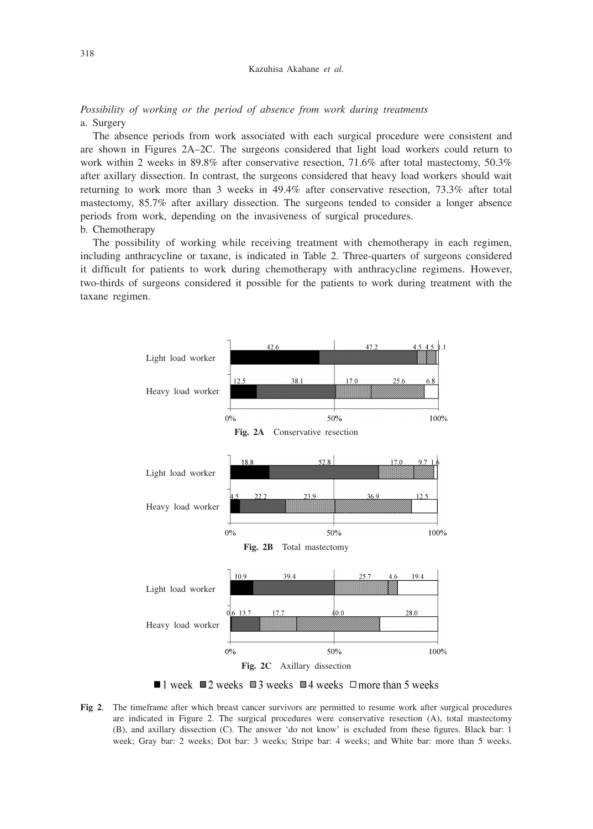### Kazuhisa Akahane *et al.*

*Possibility of working or the period of absence from work during treatments* a. Surgery

The absence periods from work associated with each surgical procedure were consistent and are shown in Figures 2A–2C. The surgeons considered that light load workers could return to work within 2 weeks in 89.8% after conservative resection, 71.6% after total mastectomy, 50.3% after axillary dissection. In contrast, the surgeons considered that heavy load workers should wait returning to work more than 3 weeks in 49.4% after conservative resection, 73.3% after total mastectomy, 85.7% after axillary dissection. The surgeons tended to consider a longer absence periods from work, depending on the invasiveness of surgical procedures. b. Chemotherapy

The possibility of working while receiving treatment with chemotherapy in each regimen, including anthracycline or taxane, is indicated in Table 2. Three-quarters of surgeons considered it difficult for patients to work during chemotherapy with anthracycline regimens. However, two-thirds of surgeons considered it possible for the patients to work during treatment with the taxane regimen.



■ 1 week ■ 2 weeks ■ 3 weeks ■ 4 weeks □ more than 5 weeks

**Fig 2**. The timeframe after which breast cancer survivors are permitted to resume work after surgical procedures are indicated in Figure 2. The surgical procedures were conservative resection (A), total mastectomy (B), and axillary dissection (C). The answer 'do not know' is excluded from these figures. Black bar: 1 week; Gray bar: 2 weeks; Dot bar: 3 weeks; Stripe bar: 4 weeks; and White bar: more than 5 weeks.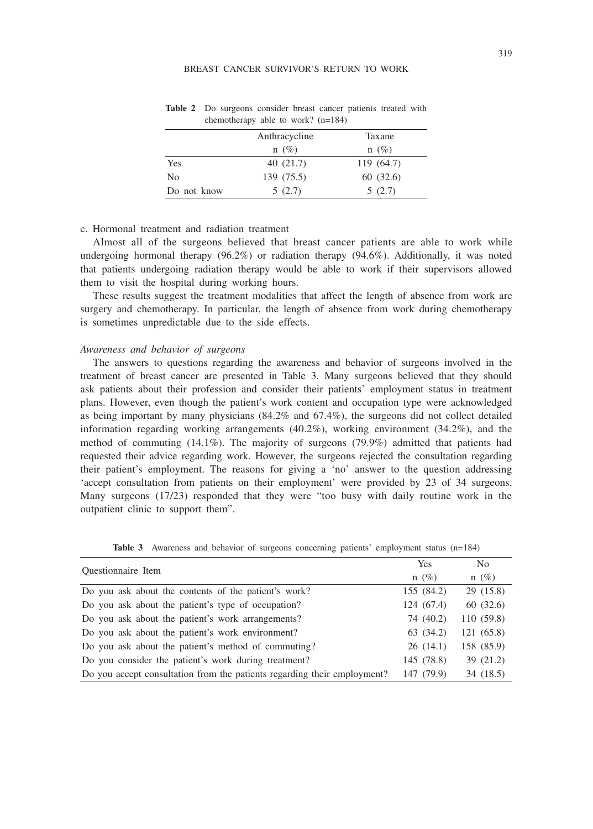|             | Anthracycline | Taxane     |
|-------------|---------------|------------|
|             | $n(\%)$       | $n(\%)$    |
| Yes         | 40(21.7)      | 119 (64.7) |
| No          | 139 (75.5)    | 60(32.6)   |
| Do not know | 5(2.7)        | 5(2.7)     |

**Table 2** Do surgeons consider breast cancer patients treated with chemotherapy able to work? (n=184)

# c. Hormonal treatment and radiation treatment

Almost all of the surgeons believed that breast cancer patients are able to work while undergoing hormonal therapy (96.2%) or radiation therapy (94.6%). Additionally, it was noted that patients undergoing radiation therapy would be able to work if their supervisors allowed them to visit the hospital during working hours.

These results suggest the treatment modalities that affect the length of absence from work are surgery and chemotherapy. In particular, the length of absence from work during chemotherapy is sometimes unpredictable due to the side effects.

### *Awareness and behavior of surgeons*

The answers to questions regarding the awareness and behavior of surgeons involved in the treatment of breast cancer are presented in Table 3. Many surgeons believed that they should ask patients about their profession and consider their patients' employment status in treatment plans. However, even though the patient's work content and occupation type were acknowledged as being important by many physicians (84.2% and 67.4%), the surgeons did not collect detailed information regarding working arrangements (40.2%), working environment (34.2%), and the method of commuting (14.1%). The majority of surgeons (79.9%) admitted that patients had requested their advice regarding work. However, the surgeons rejected the consultation regarding their patient's employment. The reasons for giving a 'no' answer to the question addressing 'accept consultation from patients on their employment' were provided by 23 of 34 surgeons. Many surgeons (17/23) responded that they were "too busy with daily routine work in the outpatient clinic to support them".

| <b>Ouestionnaire</b> Item                                                | Yes        | No         |
|--------------------------------------------------------------------------|------------|------------|
|                                                                          | $n(\%)$    | $n(\%)$    |
| Do you ask about the contents of the patient's work?                     | 155 (84.2) | 29 (15.8)  |
| Do you ask about the patient's type of occupation?                       | 124 (67.4) | 60 (32.6)  |
| Do you ask about the patient's work arrangements?                        | 74 (40.2)  | 110 (59.8) |
| Do you ask about the patient's work environment?                         | 63 (34.2)  | 121 (65.8) |
| Do you ask about the patient's method of commuting?                      | 26(14.1)   | 158 (85.9) |
| Do you consider the patient's work during treatment?                     | 145 (78.8) | 39 (21.2)  |
| Do you accept consultation from the patients regarding their employment? | 147 (79.9) | 34 (18.5)  |

**Table 3** Awareness and behavior of surgeons concerning patients' employment status (n=184)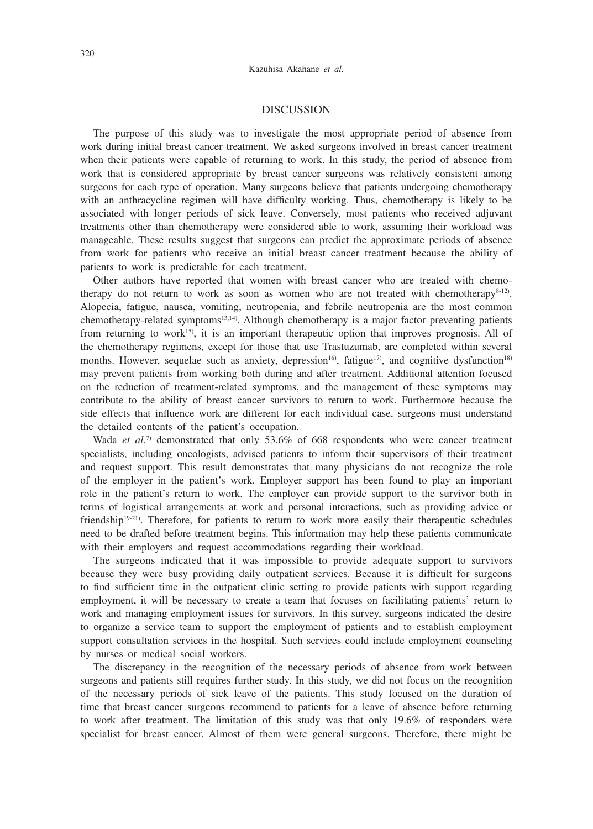### DISCUSSION

The purpose of this study was to investigate the most appropriate period of absence from work during initial breast cancer treatment. We asked surgeons involved in breast cancer treatment when their patients were capable of returning to work. In this study, the period of absence from work that is considered appropriate by breast cancer surgeons was relatively consistent among surgeons for each type of operation. Many surgeons believe that patients undergoing chemotherapy with an anthracycline regimen will have difficulty working. Thus, chemotherapy is likely to be associated with longer periods of sick leave. Conversely, most patients who received adjuvant treatments other than chemotherapy were considered able to work, assuming their workload was manageable. These results suggest that surgeons can predict the approximate periods of absence from work for patients who receive an initial breast cancer treatment because the ability of patients to work is predictable for each treatment.

Other authors have reported that women with breast cancer who are treated with chemotherapy do not return to work as soon as women who are not treated with chemotherapy $8-12$ . Alopecia, fatigue, nausea, vomiting, neutropenia, and febrile neutropenia are the most common chemotherapy-related symptoms<sup>13,14)</sup>. Although chemotherapy is a major factor preventing patients from returning to work<sup>15</sup>, it is an important therapeutic option that improves prognosis. All of the chemotherapy regimens, except for those that use Trastuzumab, are completed within several months. However, sequelae such as anxiety, depression<sup>16</sup>, fatigue<sup>17</sup>, and cognitive dysfunction<sup>18)</sup> may prevent patients from working both during and after treatment. Additional attention focused on the reduction of treatment-related symptoms, and the management of these symptoms may contribute to the ability of breast cancer survivors to return to work. Furthermore because the side effects that influence work are different for each individual case, surgeons must understand the detailed contents of the patient's occupation.

Wada *et al.*<sup>7)</sup> demonstrated that only 53.6% of 668 respondents who were cancer treatment specialists, including oncologists, advised patients to inform their supervisors of their treatment and request support. This result demonstrates that many physicians do not recognize the role of the employer in the patient's work. Employer support has been found to play an important role in the patient's return to work. The employer can provide support to the survivor both in terms of logistical arrangements at work and personal interactions, such as providing advice or friendship<sup>19-21)</sup>. Therefore, for patients to return to work more easily their therapeutic schedules need to be drafted before treatment begins. This information may help these patients communicate with their employers and request accommodations regarding their workload.

The surgeons indicated that it was impossible to provide adequate support to survivors because they were busy providing daily outpatient services. Because it is difficult for surgeons to find sufficient time in the outpatient clinic setting to provide patients with support regarding employment, it will be necessary to create a team that focuses on facilitating patients' return to work and managing employment issues for survivors. In this survey, surgeons indicated the desire to organize a service team to support the employment of patients and to establish employment support consultation services in the hospital. Such services could include employment counseling by nurses or medical social workers.

The discrepancy in the recognition of the necessary periods of absence from work between surgeons and patients still requires further study. In this study, we did not focus on the recognition of the necessary periods of sick leave of the patients. This study focused on the duration of time that breast cancer surgeons recommend to patients for a leave of absence before returning to work after treatment. The limitation of this study was that only 19.6% of responders were specialist for breast cancer. Almost of them were general surgeons. Therefore, there might be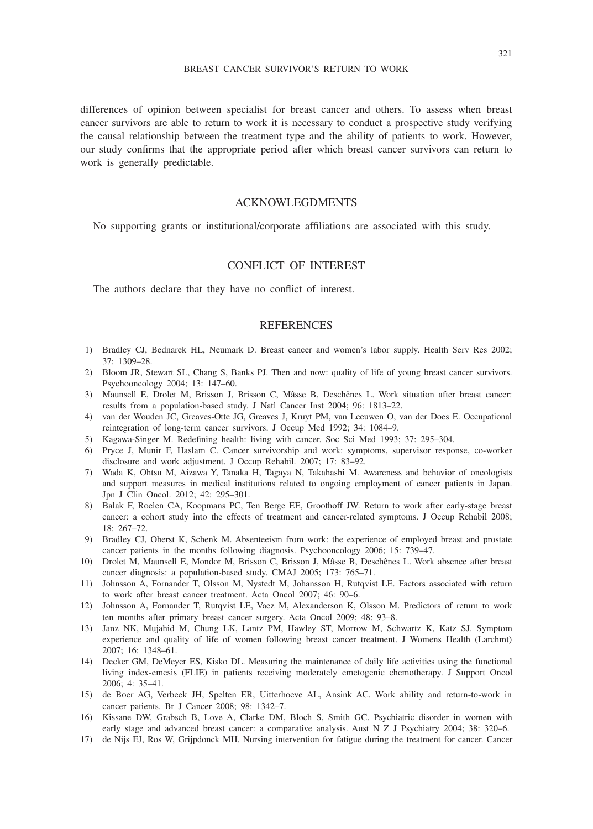differences of opinion between specialist for breast cancer and others. To assess when breast cancer survivors are able to return to work it is necessary to conduct a prospective study verifying the causal relationship between the treatment type and the ability of patients to work. However, our study confirms that the appropriate period after which breast cancer survivors can return to work is generally predictable.

# ACKNOWLEGDMENTS

No supporting grants or institutional/corporate affiliations are associated with this study.

# CONFLICT OF INTEREST

The authors declare that they have no conflict of interest.

# **REFERENCES**

- 1) Bradley CJ, Bednarek HL, Neumark D. Breast cancer and women's labor supply. Health Serv Res 2002; 37: 1309–28.
- 2) Bloom JR, Stewart SL, Chang S, Banks PJ. Then and now: quality of life of young breast cancer survivors. Psychooncology 2004; 13: 147–60.
- 3) Maunsell E, Drolet M, Brisson J, Brisson C, Mâsse B, Deschênes L. Work situation after breast cancer: results from a population-based study. J Natl Cancer Inst 2004; 96: 1813–22.
- 4) van der Wouden JC, Greaves-Otte JG, Greaves J, Kruyt PM, van Leeuwen O, van der Does E. Occupational reintegration of long-term cancer survivors. J Occup Med 1992; 34: 1084–9.
- 5) Kagawa-Singer M. Redefining health: living with cancer. Soc Sci Med 1993; 37: 295–304.
- 6) Pryce J, Munir F, Haslam C. Cancer survivorship and work: symptoms, supervisor response, co-worker disclosure and work adjustment. J Occup Rehabil. 2007; 17: 83–92.
- 7) Wada K, Ohtsu M, Aizawa Y, Tanaka H, Tagaya N, Takahashi M. Awareness and behavior of oncologists and support measures in medical institutions related to ongoing employment of cancer patients in Japan. Jpn J Clin Oncol. 2012; 42: 295–301.
- 8) Balak F, Roelen CA, Koopmans PC, Ten Berge EE, Groothoff JW. Return to work after early-stage breast cancer: a cohort study into the effects of treatment and cancer-related symptoms. J Occup Rehabil 2008; 18: 267–72.
- 9) Bradley CJ, Oberst K, Schenk M. Absenteeism from work: the experience of employed breast and prostate cancer patients in the months following diagnosis. Psychooncology 2006; 15: 739–47.
- 10) Drolet M, Maunsell E, Mondor M, Brisson C, Brisson J, Mâsse B, Deschênes L. Work absence after breast cancer diagnosis: a population-based study. CMAJ 2005; 173: 765–71.
- 11) Johnsson A, Fornander T, Olsson M, Nystedt M, Johansson H, Rutqvist LE. Factors associated with return to work after breast cancer treatment. Acta Oncol 2007; 46: 90–6.
- 12) Johnsson A, Fornander T, Rutqvist LE, Vaez M, Alexanderson K, Olsson M. Predictors of return to work ten months after primary breast cancer surgery. Acta Oncol 2009; 48: 93–8.
- 13) Janz NK, Mujahid M, Chung LK, Lantz PM, Hawley ST, Morrow M, Schwartz K, Katz SJ. Symptom experience and quality of life of women following breast cancer treatment. J Womens Health (Larchmt) 2007; 16: 1348–61.
- 14) Decker GM, DeMeyer ES, Kisko DL. Measuring the maintenance of daily life activities using the functional living index-emesis (FLIE) in patients receiving moderately emetogenic chemotherapy. J Support Oncol 2006; 4: 35–41.
- 15) de Boer AG, Verbeek JH, Spelten ER, Uitterhoeve AL, Ansink AC. Work ability and return-to-work in cancer patients. Br J Cancer 2008; 98: 1342–7.
- 16) Kissane DW, Grabsch B, Love A, Clarke DM, Bloch S, Smith GC. Psychiatric disorder in women with early stage and advanced breast cancer: a comparative analysis. Aust N Z J Psychiatry 2004; 38: 320–6.
- 17) de Nijs EJ, Ros W, Grijpdonck MH. Nursing intervention for fatigue during the treatment for cancer. Cancer